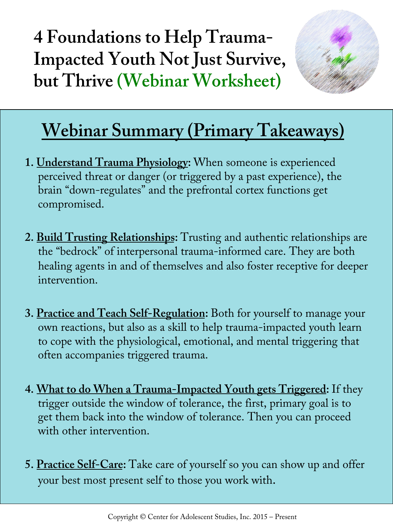**4 Foundations to Help Trauma-Impacted Youth Not Just Survive, but Thrive (Webinar Worksheet)** 



### **Webinar Summary (Primary Takeaways)**

- **1. Understand Trauma Physiology:** When someone is experienced perceived threat or danger (or triggered by a past experience), the brain "down-regulates" and the prefrontal cortex functions get compromised.
- **2. Build Trusting Relationships:** Trusting and authentic relationships are the "bedrock" of interpersonal trauma-informed care. They are both healing agents in and of themselves and also foster receptive for deeper intervention.
- **3. Practice and Teach Self-Regulation:** Both for yourself to manage your own reactions, but also as a skill to help trauma-impacted youth learn to cope with the physiological, emotional, and mental triggering that often accompanies triggered trauma.
- **4. What to do When a Trauma-Impacted Youth gets Triggered:** If they trigger outside the window of tolerance, the first, primary goal is to get them back into the window of tolerance. Then you can proceed with other intervention
- **5. Practice Self-Care:** Take care of yourself so you can show up and offer your best most present self to those you work with.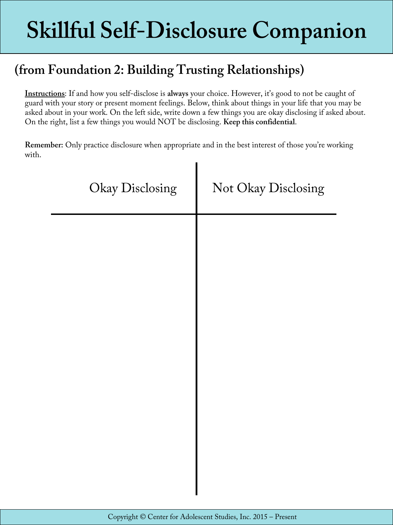## **Skillful Self-Disclosure Companion**

#### **(from Foundation 2: Building Trusting Relationships)**

**Instructions**: If and how you self-disclose is **always** your choice. However, it's good to not be caught of guard with your story or present moment feelings. Below, think about things in your life that you may be asked about in your work. On the left side, write down a few things you are okay disclosing if asked about. On the right, list a few things you would NOT be disclosing. **Keep this confidential**.

**Remember:** Only practice disclosure when appropriate and in the best interest of those you're working with.

| Okay Disclosing | Not Okay Disclosing |
|-----------------|---------------------|
|                 |                     |
|                 |                     |
|                 |                     |
|                 |                     |
|                 |                     |
|                 |                     |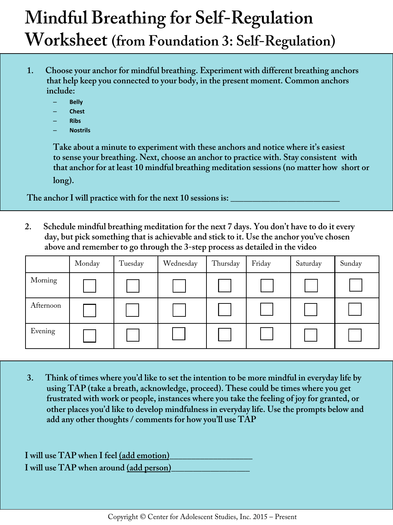## **Mindful Breathing for Self-Regulation Worksheet (from Foundation 3: Self-Regulation)**

- **1. Choose your anchor for mindful breathing. Experiment with different breathing anchors that help keep you connected to your body, in the present moment. Common anchors include:** 
	- **Belly**
	- **Chest**
	- **Ribs**
	- **Nostrils**

 **Take about a minute to experiment with these anchors and notice where it's easiest to sense your breathing. Next, choose an anchor to practice with. Stay consistent with that anchor for at least 10 mindful breathing meditation sessions (no matter how short or long).** 

The anchor I will practice with for the next 10 sessions is:

**2. Schedule mindful breathing meditation for the next 7 days. You don't have to do it every day, but pick something that is achievable and stick to it. Use the anchor you've chosen above and remember to go through the 3-step process as detailed in the video** 

|           | Monday | Tuesday | Wednesday | Thursday | Friday | Saturday | Sunday |
|-----------|--------|---------|-----------|----------|--------|----------|--------|
| Morning   |        |         |           |          |        |          |        |
| Afternoon |        |         |           |          |        |          |        |
| Evening   |        |         |           |          |        |          |        |

**3. Think of times where you'd like to set the intention to be more mindful in everyday life by using TAP (take a breath, acknowledge, proceed). These could be times where you get frustrated with work or people, instances where you take the feeling of joy for granted, or other places you'd like to develop mindfulness in everyday life. Use the prompts below and add any other thoughts / comments for how you'll use TAP** 

| I will use TAP when I feel (add emotion) |  |
|------------------------------------------|--|
| I will use TAP when around (add person)  |  |